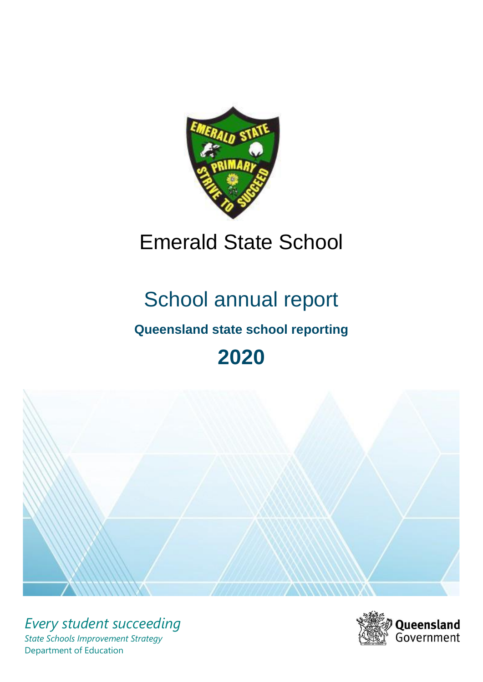

# Emerald State School

# School annual report

# **Queensland state school reporting**

# **2020**



*Every student succeeding State Schools Improvement Strategy* Department of Education

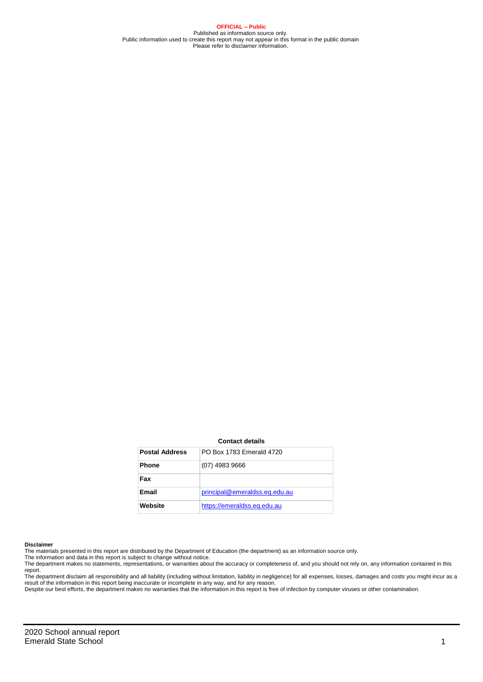**OFFICIAL – Public** Published as information source only. Public information used to create this report may not appear in this format in the public domain Please refer to disclaimer information.

#### **Contact details**

| <b>Postal Address</b> | PO Box 1783 Emerald 4720      |
|-----------------------|-------------------------------|
| <b>Phone</b>          | $(07)$ 4983 9666              |
| Fax                   |                               |
| Email                 | principal@emeraldss.eq.edu.au |
| Website               | https://emeraldss.eq.edu.au   |

#### **Disclaimer**

The materials presented in this report are distributed by the Department of Education (the department) as an information source only. The information and data in this report is subject to change without notice.

The department makes no statements, representations, or warranties about the accuracy or completeness of, and you should not rely on, any information contained in this report.

The department disclaim all responsibility and all liability (including without limitation, liability in negligence) for all expenses, losses, damages and costs you might incur as a<br>result of the information in this report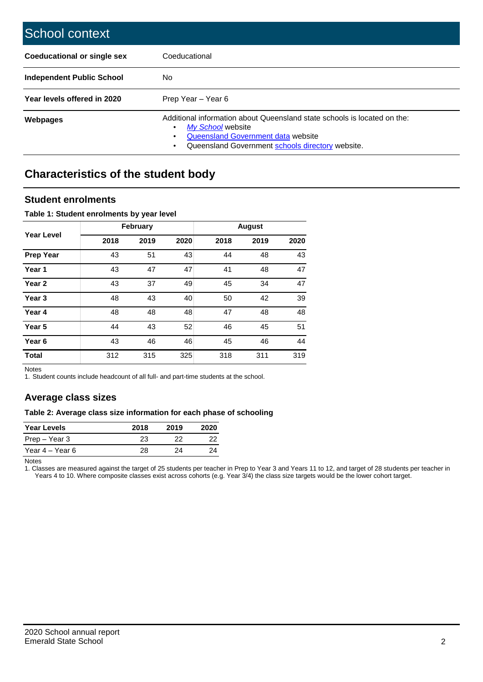| School context                     |                                                                                                                                                                                         |
|------------------------------------|-----------------------------------------------------------------------------------------------------------------------------------------------------------------------------------------|
| <b>Coeducational or single sex</b> | Coeducational                                                                                                                                                                           |
| <b>Independent Public School</b>   | No                                                                                                                                                                                      |
| Year levels offered in 2020        | Prep Year - Year 6                                                                                                                                                                      |
| <b>Webpages</b>                    | Additional information about Queensland state schools is located on the:<br>My School website<br>Queensland Government data website<br>Queensland Government schools directory website. |

# **Characteristics of the student body**

### **Student enrolments**

#### **Table 1: Student enrolments by year level**

|                   |      | February |      |      | <b>August</b> |      |
|-------------------|------|----------|------|------|---------------|------|
| <b>Year Level</b> | 2018 | 2019     | 2020 | 2018 | 2019          | 2020 |
| <b>Prep Year</b>  | 43   | 51       | 43   | 44   | 48            | 43   |
| Year 1            | 43   | 47       | 47   | 41   | 48            | 47   |
| Year <sub>2</sub> | 43   | 37       | 49   | 45   | 34            | 47   |
| Year 3            | 48   | 43       | 40   | 50   | 42            | 39   |
| Year 4            | 48   | 48       | 48   | 47   | 48            | 48   |
| Year 5            | 44   | 43       | 52   | 46   | 45            | 51   |
| Year <sub>6</sub> | 43   | 46       | 46   | 45   | 46            | 44   |
| <b>Total</b>      | 312  | 315      | 325  | 318  | 311           | 319  |

Notes

1. Student counts include headcount of all full- and part-time students at the school.

## **Average class sizes**

#### **Table 2: Average class size information for each phase of schooling**

| <b>Year Levels</b> | 2018 | 2019 | 2020 |
|--------------------|------|------|------|
| Prep – Year 3      | 23   | つつ   | フフ   |
| Year 4 – Year 6    | 28   | つハ   | 24   |

Notes

1. Classes are measured against the target of 25 students per teacher in Prep to Year 3 and Years 11 to 12, and target of 28 students per teacher in Years 4 to 10. Where composite classes exist across cohorts (e.g. Year 3/4) the class size targets would be the lower cohort target.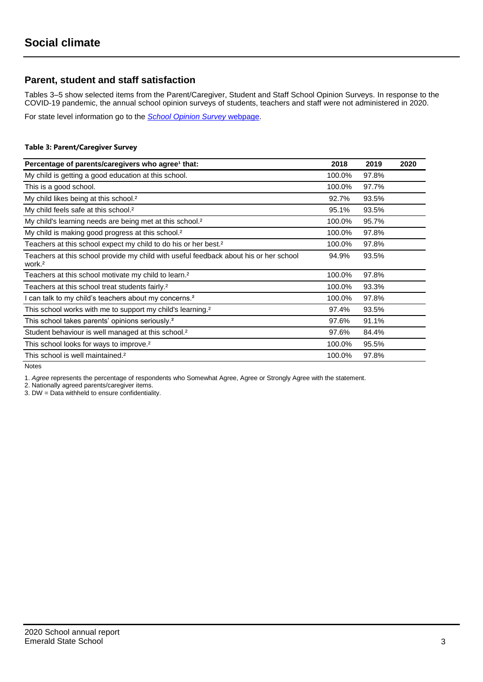## **Parent, student and staff satisfaction**

Tables 3–5 show selected items from the Parent/Caregiver, Student and Staff School Opinion Surveys. In response to the COVID-19 pandemic, the annual school opinion surveys of students, teachers and staff were not administered in 2020.

For state level information go to the *[School Opinion Survey](https://qed.qld.gov.au/publications/reports/statistics/schooling/schools/schoolopinionsurvey)* [webpage.](https://qed.qld.gov.au/publications/reports/statistics/schooling/schools/schoolopinionsurvey)

#### **Table 3: Parent/Caregiver Survey**

| Percentage of parents/caregivers who agree <sup>1</sup> that:                                               | 2018   | 2019  | 2020 |
|-------------------------------------------------------------------------------------------------------------|--------|-------|------|
| My child is getting a good education at this school.                                                        | 100.0% | 97.8% |      |
| This is a good school.                                                                                      | 100.0% | 97.7% |      |
| My child likes being at this school. <sup>2</sup>                                                           | 92.7%  | 93.5% |      |
| My child feels safe at this school. <sup>2</sup>                                                            | 95.1%  | 93.5% |      |
| My child's learning needs are being met at this school. <sup>2</sup>                                        | 100.0% | 95.7% |      |
| My child is making good progress at this school. <sup>2</sup>                                               | 100.0% | 97.8% |      |
| Teachers at this school expect my child to do his or her best. <sup>2</sup>                                 | 100.0% | 97.8% |      |
| Teachers at this school provide my child with useful feedback about his or her school<br>work. <sup>2</sup> | 94.9%  | 93.5% |      |
| Teachers at this school motivate my child to learn. <sup>2</sup>                                            | 100.0% | 97.8% |      |
| Teachers at this school treat students fairly. <sup>2</sup>                                                 | 100.0% | 93.3% |      |
| I can talk to my child's teachers about my concerns. <sup>2</sup>                                           | 100.0% | 97.8% |      |
| This school works with me to support my child's learning. <sup>2</sup>                                      | 97.4%  | 93.5% |      |
| This school takes parents' opinions seriously. <sup>2</sup>                                                 | 97.6%  | 91.1% |      |
| Student behaviour is well managed at this school. <sup>2</sup>                                              | 97.6%  | 84.4% |      |
| This school looks for ways to improve. <sup>2</sup>                                                         | 100.0% | 95.5% |      |
| This school is well maintained. <sup>2</sup>                                                                | 100.0% | 97.8% |      |

Notes

1. *Agree* represents the percentage of respondents who Somewhat Agree, Agree or Strongly Agree with the statement.

2. Nationally agreed parents/caregiver items.

3. DW = Data withheld to ensure confidentiality.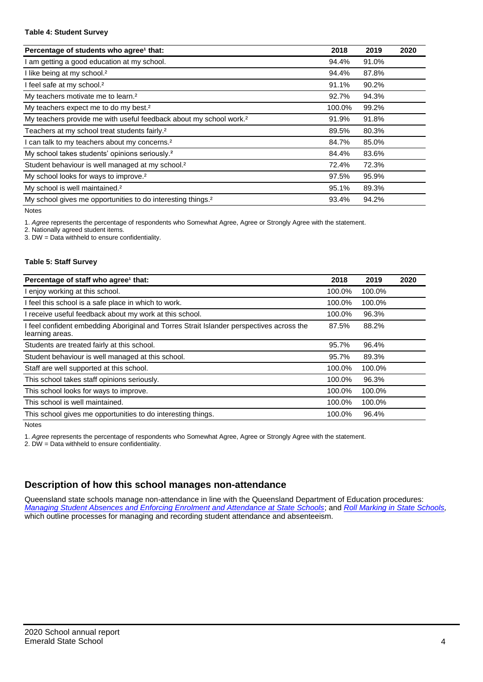#### **Table 4: Student Survey**

| Percentage of students who agree <sup>1</sup> that:                            | 2018   | 2019  | 2020 |
|--------------------------------------------------------------------------------|--------|-------|------|
| am getting a good education at my school.                                      | 94.4%  | 91.0% |      |
| I like being at my school. <sup>2</sup>                                        | 94.4%  | 87.8% |      |
| I feel safe at my school. <sup>2</sup>                                         | 91.1%  | 90.2% |      |
| My teachers motivate me to learn. <sup>2</sup>                                 | 92.7%  | 94.3% |      |
| My teachers expect me to do my best. <sup>2</sup>                              | 100.0% | 99.2% |      |
| My teachers provide me with useful feedback about my school work. <sup>2</sup> | 91.9%  | 91.8% |      |
| Teachers at my school treat students fairly. <sup>2</sup>                      | 89.5%  | 80.3% |      |
| I can talk to my teachers about my concerns. <sup>2</sup>                      | 84.7%  | 85.0% |      |
| My school takes students' opinions seriously. <sup>2</sup>                     | 84.4%  | 83.6% |      |
| Student behaviour is well managed at my school. <sup>2</sup>                   | 72.4%  | 72.3% |      |
| My school looks for ways to improve. <sup>2</sup>                              | 97.5%  | 95.9% |      |
| My school is well maintained. <sup>2</sup>                                     | 95.1%  | 89.3% |      |
| My school gives me opportunities to do interesting things. <sup>2</sup>        | 93.4%  | 94.2% |      |

Notes

1. *Agree* represents the percentage of respondents who Somewhat Agree, Agree or Strongly Agree with the statement.

2. Nationally agreed student items.

3. DW = Data withheld to ensure confidentiality.

#### **Table 5: Staff Survey**

| Percentage of staff who agree <sup>1</sup> that:                                                            | 2018   | 2019   | 2020 |
|-------------------------------------------------------------------------------------------------------------|--------|--------|------|
| I enjoy working at this school.                                                                             | 100.0% | 100.0% |      |
| I feel this school is a safe place in which to work.                                                        | 100.0% | 100.0% |      |
| I receive useful feedback about my work at this school.                                                     | 100.0% | 96.3%  |      |
| I feel confident embedding Aboriginal and Torres Strait Islander perspectives across the<br>learning areas. | 87.5%  | 88.2%  |      |
| Students are treated fairly at this school.                                                                 | 95.7%  | 96.4%  |      |
| Student behaviour is well managed at this school.                                                           | 95.7%  | 89.3%  |      |
| Staff are well supported at this school.                                                                    | 100.0% | 100.0% |      |
| This school takes staff opinions seriously.                                                                 | 100.0% | 96.3%  |      |
| This school looks for ways to improve.                                                                      | 100.0% | 100.0% |      |
| This school is well maintained.                                                                             | 100.0% | 100.0% |      |
| This school gives me opportunities to do interesting things.                                                | 100.0% | 96.4%  |      |

Notes

1. *Agree* represents the percentage of respondents who Somewhat Agree, Agree or Strongly Agree with the statement.

2. DW = Data withheld to ensure confidentiality.

## **Description of how this school manages non-attendance**

Queensland state schools manage non-attendance in line with the Queensland Department of Education procedures: *[Managing Student Absences and Enforcing Enrolment and Attendance at State Schools](https://ppr.qed.qld.gov.au/pp/managing-student-absences-and-enforcing-enrolment-and-attendance-at-state-schools-procedure)*; and *[Roll Marking in State Schools,](https://ppr.qed.qld.gov.au/pp/roll-marking-in-state-schools-procedure)* which outline processes for managing and recording student attendance and absenteeism.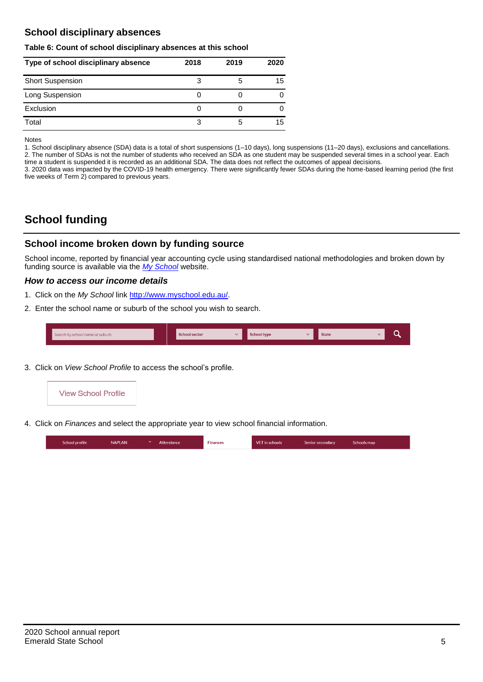## **School disciplinary absences**

#### **Table 6: Count of school disciplinary absences at this school**

| Type of school disciplinary absence | 2018 | 2019 | 2020 |
|-------------------------------------|------|------|------|
| <b>Short Suspension</b>             | 3    | 5    | 15   |
| Long Suspension                     | U    |      |      |
| Exclusion                           | U    |      |      |
| Total                               | 3    | 5    | 15   |

Notes

1. School disciplinary absence (SDA) data is a total of short suspensions (1–10 days), long suspensions (11–20 days), exclusions and cancellations. 2. The number of SDAs is not the number of students who received an SDA as one student may be suspended several times in a school year. Each time a student is suspended it is recorded as an additional SDA. The data does not reflect the outcomes of appeal decisions.

3. 2020 data was impacted by the COVID-19 health emergency. There were significantly fewer SDAs during the home-based learning period (the first five weeks of Term 2) compared to previous years.

# **School funding**

## **School income broken down by funding source**

School income, reported by financial year accounting cycle using standardised national methodologies and broken down by funding source is available via the *[My School](http://www.myschool.edu.au/)* website.

#### *How to access our income details*

- 1. Click on the *My School* link [http://www.myschool.edu.au/.](http://www.myschool.edu.au/)
- 2. Enter the school name or suburb of the school you wish to search.

| Search by school name or suburb | <b>School sector</b> | <b>School type</b><br>447 | <b>State</b> | ∽ |
|---------------------------------|----------------------|---------------------------|--------------|---|
|                                 |                      |                           |              |   |

3. Click on *View School Profile* to access the school's profile.



4. Click on *Finances* and select the appropriate year to view school financial information.

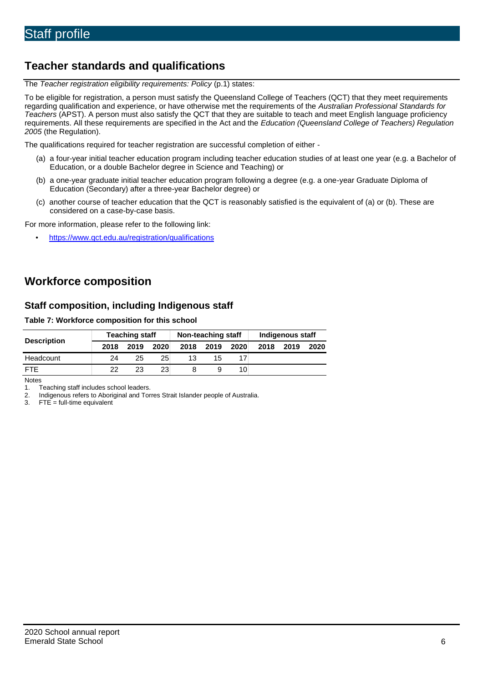# **Teacher standards and qualifications**

The *Teacher registration eligibility requirements: Policy* (p.1) states:

To be eligible for registration, a person must satisfy the Queensland College of Teachers (QCT) that they meet requirements regarding qualification and experience, or have otherwise met the requirements of the *Australian Professional Standards for Teachers* (APST). A person must also satisfy the QCT that they are suitable to teach and meet English language proficiency requirements. All these requirements are specified in the Act and the *Education (Queensland College of Teachers) Regulation 2005* (the Regulation).

The qualifications required for teacher registration are successful completion of either -

- (a) a four-year initial teacher education program including teacher education studies of at least one year (e.g. a Bachelor of Education, or a double Bachelor degree in Science and Teaching) or
- (b) a one-year graduate initial teacher education program following a degree (e.g. a one-year Graduate Diploma of Education (Secondary) after a three-year Bachelor degree) or
- (c) another course of teacher education that the QCT is reasonably satisfied is the equivalent of (a) or (b). These are considered on a case-by-case basis.

For more information, please refer to the following link:

• <https://www.qct.edu.au/registration/qualifications>

# **Workforce composition**

## **Staff composition, including Indigenous staff**

#### **Table 7: Workforce composition for this school**

|                    | <b>Teaching staff</b> |      |      | Non-teaching staff |      |                 | Indigenous staff |      |      |
|--------------------|-----------------------|------|------|--------------------|------|-----------------|------------------|------|------|
| <b>Description</b> | 2018                  | 2019 | 2020 | 2018               | 2019 | 2020            | 2018             | 2019 | 2020 |
| Headcount          | 24                    | 25   | 25   | 13                 | 15   |                 |                  |      |      |
| <b>FTE</b>         | 22                    | 23   | 23   |                    |      | 10 <sup>1</sup> |                  |      |      |

Notes

1. Teaching staff includes school leaders.<br>2. Indigenous refers to Aboriginal and Tor 2. Indigenous refers to Aboriginal and Torres Strait Islander people of Australia.<br>3. FTE = full-time equivalent

 $FTE = full-time equivalent$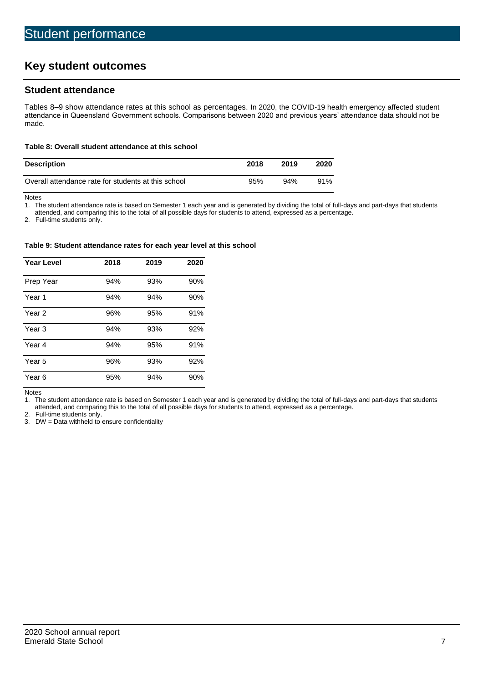# **Key student outcomes**

## **Student attendance**

Tables 8–9 show attendance rates at this school as percentages. In 2020, the COVID-19 health emergency affected student attendance in Queensland Government schools. Comparisons between 2020 and previous years' attendance data should not be made.

#### **Table 8: Overall student attendance at this school**

| <b>Description</b>                                  | 2018 | 2019 | 2020 |
|-----------------------------------------------------|------|------|------|
| Overall attendance rate for students at this school | 95%  | 94%  | 91%  |

Notes<br>1. Th

The student attendance rate is based on Semester 1 each year and is generated by dividing the total of full-days and part-days that students

attended, and comparing this to the total of all possible days for students to attend, expressed as a percentage.

2. Full-time students only.

#### **Table 9: Student attendance rates for each year level at this school**

| <b>Year Level</b> | 2018 | 2019 | 2020 |
|-------------------|------|------|------|
| Prep Year         | 94%  | 93%  | 90%  |
| Year <sub>1</sub> | 94%  | 94%  | 90%  |
| Year 2            | 96%  | 95%  | 91%  |
| Year <sub>3</sub> | 94%  | 93%  | 92%  |
| Year 4            | 94%  | 95%  | 91%  |
| Year 5            | 96%  | 93%  | 92%  |
| Year <sub>6</sub> | 95%  | 94%  | 90%  |

Notes

1. The student attendance rate is based on Semester 1 each year and is generated by dividing the total of full-days and part-days that students attended, and comparing this to the total of all possible days for students to attend, expressed as a percentage.

2. Full-time students only.<br>3. DW = Data withheld to

 $DW = Data$  withheld to ensure confidentiality